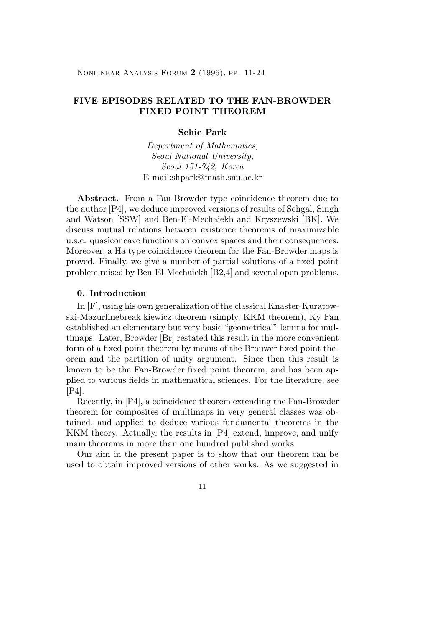Nonlinear Analysis Forum **2** (1996), pp. 11-24

# **FIVE EPISODES RELATED TO THE FAN-BROWDER FIXED POINT THEOREM**

# **Sehie Park**

Department of Mathematics, Seoul National University, Seoul 151-742, Korea E-mail:shpark@math.snu.ac.kr

**Abstract.** From a Fan-Browder type coincidence theorem due to the author [P4], we deduce improved versions of results of Sehgal, Singh and Watson [SSW] and Ben-El-Mechaiekh and Kryszewski [BK]. We discuss mutual relations between existence theorems of maximizable u.s.c. quasiconcave functions on convex spaces and their consequences. Moreover, a Ha type coincidence theorem for the Fan-Browder maps is proved. Finally, we give a number of partial solutions of a fixed point problem raised by Ben-El-Mechaiekh [B2,4] and several open problems.

## **0. Introduction**

In [F], using his own generalization of the classical Knaster-Kuratowski-Mazurlinebreak kiewicz theorem (simply, KKM theorem), Ky Fan established an elementary but very basic "geometrical" lemma for multimaps. Later, Browder [Br] restated this result in the more convenient form of a fixed point theorem by means of the Brouwer fixed point theorem and the partition of unity argument. Since then this result is known to be the Fan-Browder fixed point theorem, and has been applied to various fields in mathematical sciences. For the literature, see [P4].

Recently, in [P4], a coincidence theorem extending the Fan-Browder theorem for composites of multimaps in very general classes was obtained, and applied to deduce various fundamental theorems in the KKM theory. Actually, the results in [P4] extend, improve, and unify main theorems in more than one hundred published works.

Our aim in the present paper is to show that our theorem can be used to obtain improved versions of other works. As we suggested in

11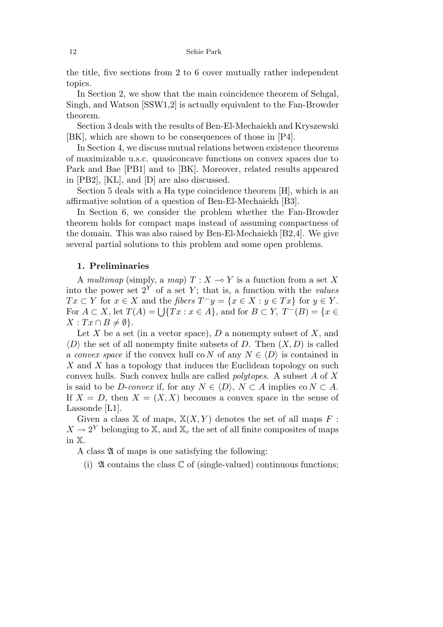the title, five sections from 2 to 6 cover mutually rather independent topics.

In Section 2, we show that the main coincidence theorem of Sehgal, Singh, and Watson [SSW1,2] is actually equivalent to the Fan-Browder theorem.

Section 3 deals with the results of Ben-El-Mechaiekh and Kryszewski [BK], which are shown to be consequences of those in [P4].

In Section 4, we discuss mutual relations between existence theorems of maximizable u.s.c. quasiconcave functions on convex spaces due to Park and Bae [PB1] and to [BK]. Moreover, related results appeared in [PB2], [KL], and [D] are also discussed.

Section 5 deals with a Ha type coincidence theorem [H], which is an affirmative solution of a question of Ben-El-Mechaiekh [B3].

In Section 6, we consider the problem whether the Fan-Browder theorem holds for compact maps instead of assuming compactness of the domain. This was also raised by Ben-El-Mechaiekh [B2,4]. We give several partial solutions to this problem and some open problems.

### **1. Preliminaries**

A multimap (simply, a map)  $T: X \to Y$  is a function from a set X into the power set  $2^Y$  of a set Y; that is, a function with the *values Tx*  $\subset$  *Y* for *x*  $\in$  *X* and the *fibers*  $T^-y = \{x \in X : y \in Tx\}$  for  $y \in Y$ . For  $A \subset X$ , let  $T(A) = \bigcup \{Tx : x \in A\}$ , and for  $B \subset Y$ ,  $T^{-}(B) = \{x \in A\}$  $X: Tx \cap B \neq \emptyset$ .

Let *X* be a set (in a vector space), *D* a nonempty subset of *X*, and  $\langle D \rangle$  the set of all nonempty finite subsets of *D*. Then  $(X, D)$  is called a convex space if the convex hull co *N* of any  $N \in \langle D \rangle$  is contained in *X* and *X* has a topology that induces the Euclidean topology on such convex hulls. Such convex hulls are called polytopes. A subset *A* of *X* is said to be *D*-convex if, for any  $N \in \langle D \rangle$ ,  $N \subset A$  implies co  $N \subset A$ . If  $X = D$ , then  $X = (X, X)$  becomes a convex space in the sense of Lassonde [L1].

Given a class  $X$  of maps,  $X(X, Y)$  denotes the set of all maps  $F$ :  $X \to 2^Y$  belonging to X, and  $X_c$  the set of all finite composites of maps in X.

A class  $\mathfrak A$  of maps is one satisfying the following:

(i)  $\mathfrak A$  contains the class  $\mathbb C$  of (single-valued) continuous functions;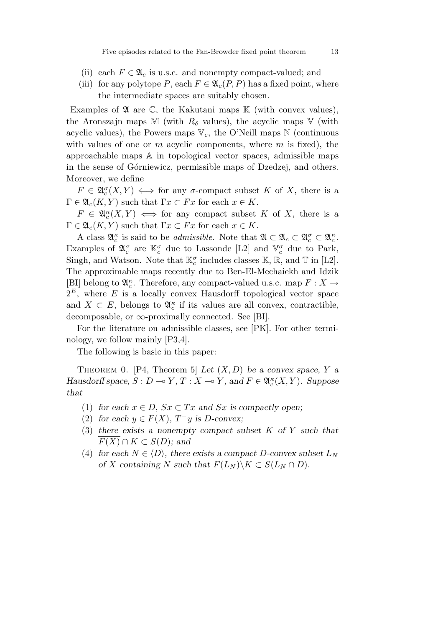- (ii) each  $F \in \mathfrak{A}_c$  is u.s.c. and nonempty compact-valued; and
- (iii) for any polytope P, each  $F \in \mathfrak{A}_{c}(P, P)$  has a fixed point, where the intermediate spaces are suitably chosen.

Examples of  $\mathfrak A$  are  $\mathbb C$ , the Kakutani maps  $\mathbb K$  (with convex values), the Aronszajn maps M (with  $R_\delta$  values), the acyclic maps V (with acyclic values), the Powers maps  $V_c$ , the O'Neill maps  $N$  (continuous with values of one or *m* acyclic components, where *m* is fixed), the approachable maps A in topological vector spaces, admissible maps in the sense of Górniewicz, permissible maps of Dzedzej, and others. Moreover, we define

 $F \in \mathfrak{A}_{c}^{\sigma}(X, Y) \iff \text{for any } \sigma\text{-compact subset } K \text{ of } X, \text{ there is a }$  $\Gamma \in \mathfrak{A}_c(K, Y)$  such that  $\Gamma x \subset F x$  for each  $x \in K$ .

 $F \in \mathfrak{A}_c^{\kappa}(X,Y) \iff \text{for any compact subset } K \text{ of } X, \text{ there is a }$  $\Gamma \in \mathfrak{A}_c(K, Y)$  such that  $\Gamma x \subset F x$  for each  $x \in K$ .

A class  $\mathfrak{A}_{c}^{\kappa}$  is said to be *admissible*. Note that  $\mathfrak{A} \subset \mathfrak{A}_{c} \subset \mathfrak{A}_{c}^{\sigma} \subset \mathfrak{A}_{c}^{\kappa}$ . Examples of  $\mathfrak{A}_{c}^{\sigma}$  are  $\mathbb{K}_{c}^{\sigma}$  due to Lassonde [L2] and  $\mathbb{V}_{c}^{\sigma}$  due to Park, Singh, and Watson. Note that  $\mathbb{K}^{\sigma}_{c}$  includes classes  $\mathbb{K}, \mathbb{R}$ , and  $\mathbb{T}$  in [L2]. The approximable maps recently due to Ben-El-Mechaiekh and Idzik [BI] belong to  $\mathfrak{A}^{\kappa}_{c}$ . Therefore, any compact-valued u.s.c. map  $F: X \to$  $2^E$ , where *E* is a locally convex Hausdorff topological vector space and  $X \subset E$ , belongs to  $\mathfrak{A}_{c}^{\kappa}$  if its values are all convex, contractible, decomposable, or  $\infty$ -proximally connected. See [BI].

For the literature on admissible classes, see [PK]. For other terminology, we follow mainly [P3,4].

The following is basic in this paper:

THEOREM 0. [P4, Theorem 5] Let  $(X, D)$  be a convex space, Y a *Hausdorff space,*  $S: D \to Y, T: X \to Y$ , and  $F \in \mathfrak{A}_{c}^{\kappa}(X, Y)$ *. Suppose that*

- (1) for each  $x \in D$ ,  $Sx \subset Tx$  and  $Sx$  is compactly open;
- (2) *for each*  $y \in F(X)$ ,  $T^-y$  *is D*-convex;
- (3) *there exists a nonempty compact subset K of Y such that F*(*X*) ∩ *K* ⊂ *S*(*D*)*;* and
- (4) for each  $N \in \langle D \rangle$ , there exists a compact D-convex subset  $L_N$ *of X containing N such that*  $F(L_N)\Ksubset S(L_N \cap D)$ *.*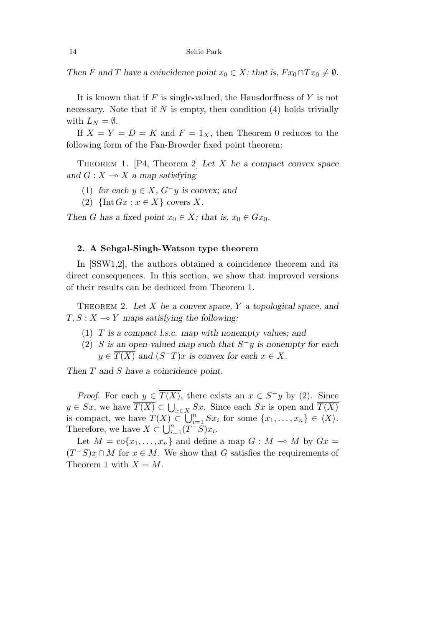*Then F* and *T* have a coincidence point  $x_0 \in X$ ; that is,  $Fx_0 \cap Tx_0 \neq \emptyset$ .

It is known that if *F* is single-valued, the Hausdorffness of *Y* is not necessary. Note that if  $N$  is empty, then condition  $(4)$  holds trivially with  $L_N = \emptyset$ .

If  $X = Y = D = K$  and  $F = 1_X$ , then Theorem 0 reduces to the following form of the Fan-Browder fixed point theorem:

Theorem 1. [P4, Theorem 2] *Let X be a compact convex space and*  $G: X \rightarrow X$  *a map satisfying* 

- (1) *for each*  $y \in X$ ,  $G^-y$  *is convex; and*
- (2)  $\{\text{Int }Gx : x \in X\}$  *covers X.*

*Then G* has a fixed point  $x_0 \in X$ ; that is,  $x_0 \in Gx_0$ .

### **2. A Sehgal-Singh-Watson type theorem**

In [SSW1,2], the authors obtained a coincidence theorem and its direct consequences. In this section, we show that improved versions of their results can be deduced from Theorem 1.

Theorem 2. *Let X be a convex space, Y a topological space, and*  $T, S: X \rightarrow Y$  *maps satisfying the following:* 

- (1) *T is a compact l.s.c. map with nonempty values; and*
- (2) *S is an open-valued map such that S*−*y is nonempty for each*  $y \in \overline{T(X)}$  and  $(S-T)x$  is convex for each  $x \in X$ .

*Then T and S have a coincidence point.*

*Proof.* For each  $y \in \overline{T(X)}$ , there exists an  $x \in S^-y$  by (2). Since  $y \in Sx$ , we have  $\overline{T(X)} \subset \bigcup_{x \in X} Sx$ . Since each *Sx* is open and  $\overline{T(X)}$ is compact, we have  $T(X) \subset \bigcup_{i=1}^{n} Sx_i$  for some  $\{x_1, \ldots, x_n\} \in \langle X \rangle$ . Therefore, we have  $X \subset \bigcup_{i=1}^{n} (T^{-}S)x_i$ .

Let  $M = \text{co}\{x_1, \ldots, x_n\}$  and define a map  $G : M \to M$  by  $Gx =$  $(T^-S)x \cap M$  for  $x \in M$ . We show that *G* satisfies the requirements of Theorem 1 with  $X = M$ .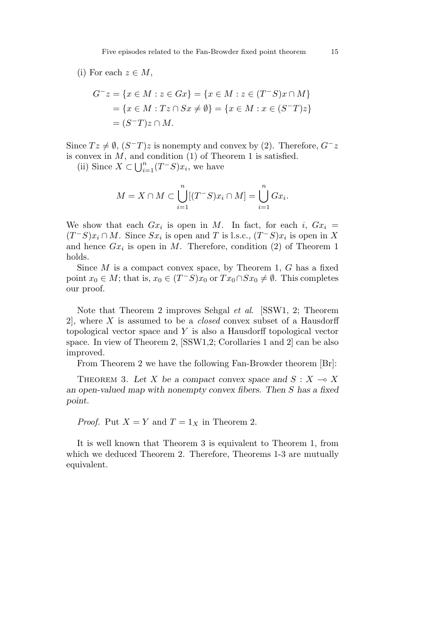### (i) For each  $z \in M$ ,

$$
G^{-}z = \{x \in M : z \in Gx\} = \{x \in M : z \in (T^{-}S)x \cap M\}
$$
  
=  $\{x \in M : Tz \cap Sx \neq \emptyset\} = \{x \in M : x \in (S^{-}T)z\}$   
=  $(S^{-}T)z \cap M$ .

Since  $Tz \neq \emptyset$ ,  $(S-T)z$  is nonempty and convex by (2). Therefore,  $G^-z$ is convex in  $M$ , and condition  $(1)$  of Theorem 1 is satisfied.

(ii) Since  $X \subset \bigcup_{i=1}^n (T^-S)x_i$ , we have

$$
M = X \cap M \subset \bigcup_{i=1}^{n} [(T^{-}S)x_i \cap M] = \bigcup_{i=1}^{n} Gx_i.
$$

We show that each  $Gx_i$  is open in M. In fact, for each *i*,  $Gx_i$  $(T^-S)x_i \cap M$ . Since  $Sx_i$  is open and *T* is l.s.c.,  $(T^-S)x_i$  is open in *X* and hence *Gx<sup>i</sup>* is open in *M*. Therefore, condition (2) of Theorem 1 holds.

Since *M* is a compact convex space, by Theorem 1, *G* has a fixed point  $x_0 \in M$ ; that is,  $x_0 \in (T^{\dagger}S)x_0$  or  $Tx_0 \cap Sx_0 \neq \emptyset$ . This completes our proof.

Note that Theorem 2 improves Sehgal et al. [SSW1, 2; Theorem 2], where *X* is assumed to be a closed convex subset of a Hausdorff topological vector space and *Y* is also a Hausdorff topological vector space. In view of Theorem 2, [SSW1,2; Corollaries 1 and 2] can be also improved.

From Theorem 2 we have the following Fan-Browder theorem [Br]:

THEOREM 3. Let X be a compact convex space and  $S: X \to X$ *an open-valued map with nonempty convex fibers. Then S has a fixed point.*

*Proof.* Put  $X = Y$  and  $T = 1_X$  in Theorem 2.

It is well known that Theorem 3 is equivalent to Theorem 1, from which we deduced Theorem 2. Therefore, Theorems 1-3 are mutually equivalent.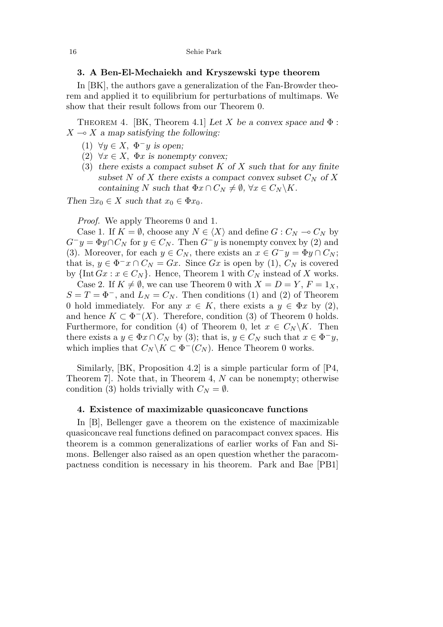### **3. A Ben-El-Mechaiekh and Kryszewski type theorem**

In [BK], the authors gave a generalization of the Fan-Browder theorem and applied it to equilibrium for perturbations of multimaps. We show that their result follows from our Theorem 0.

THEOREM 4. [BK, Theorem 4.1] Let *X* be a convex space and  $\Phi$ :  $X \rightarrow X$  *a map satisfying the following:* 

- (1) ∀*y* ∈ *X,* Φ−*y is open;*
- (2)  $\forall x \in X$ ,  $\Phi x$  *is nonempty convex*;
- (3) *there exists a compact subset K of X such that for any finite* subset *N* of *X* there exists a compact convex subset  $C_N$  of *X containing N such that*  $\Phi x \cap C_N \neq \emptyset$ ,  $\forall x \in C_N \backslash K$ .

*Then*  $\exists x_0 \in X$  *such that*  $x_0 \in \Phi x_0$ *.* 

*Proof.* We apply Theorems 0 and 1.

Case 1. If  $K = \emptyset$ , choose any  $N \in \langle X \rangle$  and define  $G : C_N \to C_N$  by  $G^-y = \Phi y \cap C_N$  for  $y \in C_N$ . Then  $G^-y$  is nonempty convex by (2) and (3). Moreover, for each  $y \in C_N$ , there exists an  $x \in G^-y = \Phi y \cap C_N$ ; that is,  $y \in \Phi^{-}x \cap C_N = Gx$ . Since  $Gx$  is open by (1),  $C_N$  is covered by  $\{\text{Int }Gx : x \in C_N\}$ . Hence, Theorem 1 with  $C_N$  instead of X works.

Case 2. If  $K \neq \emptyset$ , we can use Theorem 0 with  $X = D = Y$ ,  $F = 1_X$ ,  $S = T = \Phi^{-}$ , and  $L_N = C_N$ . Then conditions (1) and (2) of Theorem 0 hold immediately. For any  $x \in K$ , there exists a  $y \in \Phi x$  by (2), and hence  $K \subset \Phi^{-1}(X)$ . Therefore, condition (3) of Theorem 0 holds. Furthermore, for condition (4) of Theorem 0, let  $x \in C_N \backslash K$ . Then there exists a  $y \in \Phi x \cap C_N$  by (3); that is,  $y \in C_N$  such that  $x \in \Phi^{-}y$ , which implies that  $C_N \backslash K \subset \Phi^{-1}(C_N)$ . Hence Theorem 0 works.

Similarly, [BK, Proposition 4.2] is a simple particular form of [P4, Theorem 7]. Note that, in Theorem 4, *N* can be nonempty; otherwise condition (3) holds trivially with  $C_N = \emptyset$ .

#### **4. Existence of maximizable quasiconcave functions**

In [B], Bellenger gave a theorem on the existence of maximizable quasiconcave real functions defined on paracompact convex spaces. His theorem is a common generalizations of earlier works of Fan and Simons. Bellenger also raised as an open question whether the paracompactness condition is necessary in his theorem. Park and Bae [PB1]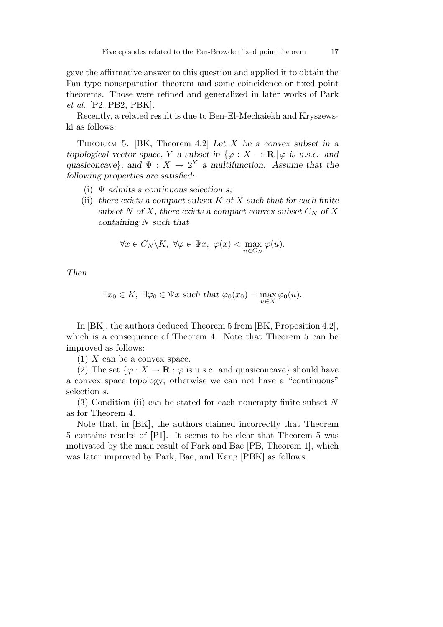gave the affirmative answer to this question and applied it to obtain the Fan type nonseparation theorem and some coincidence or fixed point theorems. Those were refined and generalized in later works of Park et al. [P2, PB2, PBK].

Recently, a related result is due to Ben-El-Mechaiekh and Kryszewski as follows:

Theorem 5. [BK, Theorem 4.2] *Let X be a convex subset in a topological vector space, Y a subset in*  $\{\varphi : X \to \mathbf{R} \mid \varphi \text{ is u.s.c. and }\}$ *quasiconcave*}*, and*  $\Psi : X \to 2^Y$  *a multifunction. Assume that the following properties are satisfied:*

- (i) Ψ *admits a continuous selection s;*
- (ii) *there exists a compact subset K of X such that for each finite* subset *N* of *X,* there exists a compact convex subset  $C_N$  of *X containing N such that*

$$
\forall x \in C_N \backslash K, \ \forall \varphi \in \Psi x, \ \varphi(x) < \max_{u \in C_N} \varphi(u).
$$

*Then*

$$
\exists x_0 \in K, \ \exists \varphi_0 \in \Psi x \text{ such that } \varphi_0(x_0) = \max_{u \in X} \varphi_0(u).
$$

In [BK], the authors deduced Theorem 5 from [BK, Proposition 4.2], which is a consequence of Theorem 4. Note that Theorem 5 can be improved as follows:

(1) *X* can be a convex space.

(2) The set  $\{\varphi: X \to \mathbf{R} : \varphi \text{ is u.s.c. and quasiconcave}\}\$  should have a convex space topology; otherwise we can not have a "continuous" selection *s*.

(3) Condition (ii) can be stated for each nonempty finite subset *N* as for Theorem 4.

Note that, in [BK], the authors claimed incorrectly that Theorem 5 contains results of [P1]. It seems to be clear that Theorem 5 was motivated by the main result of Park and Bae [PB, Theorem 1], which was later improved by Park, Bae, and Kang [PBK] as follows: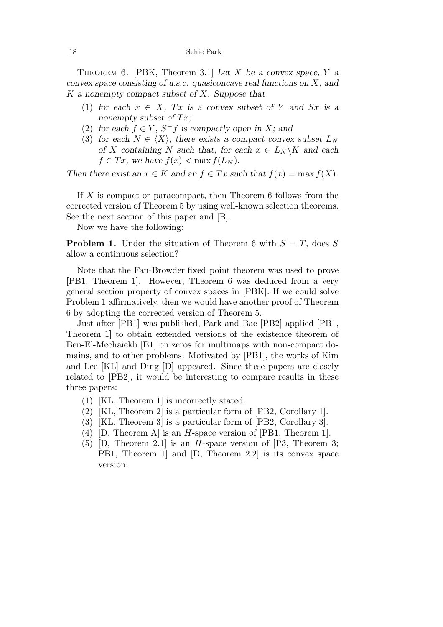Theorem 6. [PBK, Theorem 3.1] *Let X be a convex space, Y a convex space consisting of u.s.c. quasiconcave real functions on X, and K a nonempty compact subset of X. Suppose that*

- (1) for each  $x \in X$ ,  $Tx$  is a convex subset of Y and  $Sx$  is a *nonempty subset of*  $Tx$ ;
- (2) for each  $f \in Y$ ,  $S^- f$  is compactly open in *X*; and
- (3) for each  $N \in \langle X \rangle$ , there exists a compact convex subset  $L_N$ *of X containing N such that, for each*  $x \in L_N \backslash K$  *and each*  $f \in Tx$ , we have  $f(x) < \max f(L_N)$ .

*Then there exist an*  $x \in K$  *and an*  $f \in Tx$  *such that*  $f(x) = \max f(X)$ .

If *X* is compact or paracompact, then Theorem 6 follows from the corrected version of Theorem 5 by using well-known selection theorems. See the next section of this paper and [B].

Now we have the following:

**Problem 1.** Under the situation of Theorem 6 with  $S = T$ , does *S* allow a continuous selection?

Note that the Fan-Browder fixed point theorem was used to prove [PB1, Theorem 1]. However, Theorem 6 was deduced from a very general section property of convex spaces in [PBK]. If we could solve Problem 1 affirmatively, then we would have another proof of Theorem 6 by adopting the corrected version of Theorem 5.

Just after [PB1] was published, Park and Bae [PB2] applied [PB1, Theorem 1] to obtain extended versions of the existence theorem of Ben-El-Mechaiekh [B1] on zeros for multimaps with non-compact domains, and to other problems. Motivated by [PB1], the works of Kim and Lee [KL] and Ding [D] appeared. Since these papers are closely related to [PB2], it would be interesting to compare results in these three papers:

- (1) [KL, Theorem 1] is incorrectly stated.
- (2) [KL, Theorem 2] is a particular form of [PB2, Corollary 1].
- (3) [KL, Theorem 3] is a particular form of [PB2, Corollary 3].
- (4) [D, Theorem A] is an *H*-space version of [PB1, Theorem 1].
- (5) [D, Theorem 2.1] is an *H*-space version of [P3, Theorem 3; PB1, Theorem 1] and [D, Theorem 2.2] is its convex space version.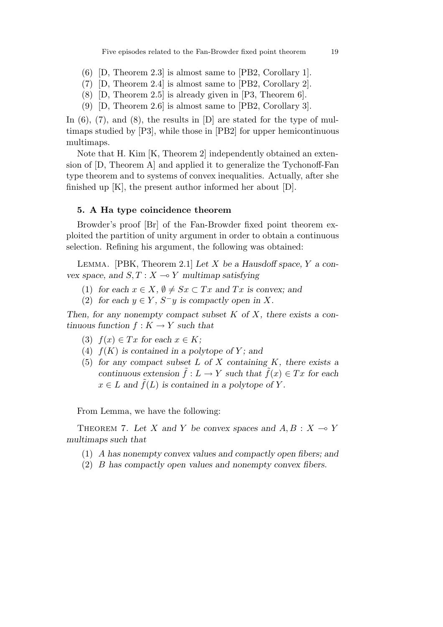- (6) [D, Theorem 2.3] is almost same to [PB2, Corollary 1].
- (7) [D, Theorem 2.4] is almost same to [PB2, Corollary 2].
- (8) [D, Theorem 2.5] is already given in [P3, Theorem 6].
- (9) [D, Theorem 2.6] is almost same to [PB2, Corollary 3].

In  $(6)$ ,  $(7)$ , and  $(8)$ , the results in  $[D]$  are stated for the type of multimaps studied by [P3], while those in [PB2] for upper hemicontinuous multimaps.

Note that H. Kim [K, Theorem 2] independently obtained an extension of [D, Theorem A] and applied it to generalize the Tychonoff-Fan type theorem and to systems of convex inequalities. Actually, after she finished up  $[K]$ , the present author informed her about  $[D]$ .

#### **5. A Ha type coincidence theorem**

Browder's proof [Br] of the Fan-Browder fixed point theorem exploited the partition of unity argument in order to obtain a continuous selection. Refining his argument, the following was obtained:

Lemma. [PBK, Theorem 2.1] *Let X be a Hausdoff space, Y a convex space, and*  $S, T: X \rightarrow Y$  *multimap satisfying* 

- (1) *for each*  $x \in X$ ,  $\emptyset \neq Sx \subset Tx$  *and*  $Tx$  *is convex; and*
- (2) for each  $y \in Y$ ,  $S^-y$  is compactly open in X.

*Then, for any nonempty compact subset K of X, there exists a continuous function*  $f: K \to Y$  *such that* 

- $(3)$   $f(x) \in Tx$  for each  $x \in K$ ;
- (4)  $f(K)$  *is contained in a polytope of Y; and*
- (5) *for any compact subset L of X containing K, there exists a continuous extension*  $\tilde{f}: L \to Y$  *such that*  $\tilde{f}(x) \in Tx$  *for each*  $x \in L$  *and*  $\tilde{f}(L)$  *is contained in a polytope of Y.*

From Lemma, we have the following:

THEOREM 7. Let *X* and *Y* be convex spaces and  $A, B: X \to Y$ *multimaps such that*

- (1) *A has nonempty convex values and compactly open fibers; and*
- (2) *B has compactly open values and nonempty convex fibers.*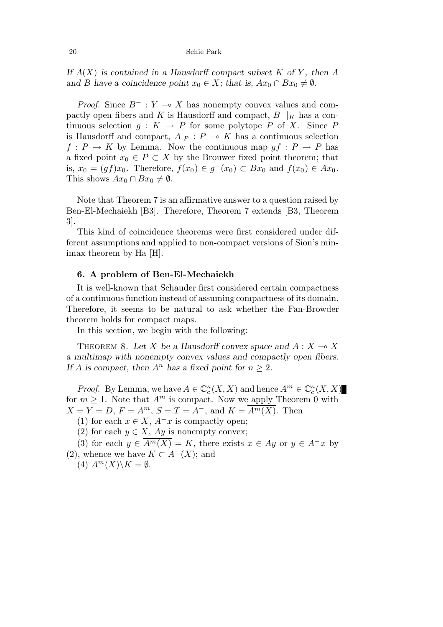If  $A(X)$  is contained in a Hausdorff compact subset K of Y, then A *and B have a coincidence point*  $x_0 \in X$ *; that is,*  $Ax_0 \cap Bx_0 \neq \emptyset$ *.* 

*Proof.* Since  $B^-$ :  $Y \to X$  has nonempty convex values and compactly open fibers and *K* is Hausdorff and compact,  $B^-|_K$  has a continuous selection  $g: K \to P$  for some polytope *P* of *X*. Since *P* is Hausdorff and compact,  $A|_P : P \multimap K$  has a continuous selection  $f: P \to K$  by Lemma. Now the continuous map  $qf: P \to P$  has a fixed point  $x_0 \in P \subset X$  by the Brouwer fixed point theorem; that is,  $x_0 = (gf)x_0$ . Therefore,  $f(x_0) \in g^-(x_0) \subset Bx_0$  and  $f(x_0) \in Ax_0$ . This shows  $Ax_0 \cap Bx_0 \neq \emptyset$ .

Note that Theorem 7 is an affirmative answer to a question raised by Ben-El-Mechaiekh [B3]. Therefore, Theorem 7 extends [B3, Theorem 3].

This kind of coincidence theorems were first considered under different assumptions and applied to non-compact versions of Sion's minimax theorem by Ha [H].

### **6. A problem of Ben-El-Mechaiekh**

It is well-known that Schauder first considered certain compactness of a continuous function instead of assuming compactness of its domain. Therefore, it seems to be natural to ask whether the Fan-Browder theorem holds for compact maps.

In this section, we begin with the following:

THEOREM 8. Let X be a Hausdorff convex space and  $A: X \to X$ *a multimap with nonempty convex values and compactly open fibers. If A* is compact, then  $A^n$  has a fixed point for  $n \geq 2$ .

*Proof.* By Lemma, we have  $A \in \mathbb{C}_c^{\kappa}(X, X)$  and hence  $A^m \in \mathbb{C}_c^{\kappa}(X, X)$ for  $m \geq 1$ . Note that  $A^m$  is compact. Now we apply Theorem 0 with  $X = Y = D$ ,  $F = A<sup>m</sup>$ ,  $S = T = A<sup>-</sup>$ , and  $K = \overline{A<sup>m</sup>(X)}$ . Then

(1) for each  $x \in X$ ,  $A^{-}x$  is compactly open;

(2) for each  $y \in X$ ,  $Ay$  is nonempty convex;

(3) for each  $y \in \overline{A^m(X)} = K$ , there exists  $x \in Ay$  or  $y \in A^-x$  by (2), whence we have  $K \subset A^{-1}(X)$ ; and

 $(A)$   $A^m(X)\backslash K = \emptyset$ .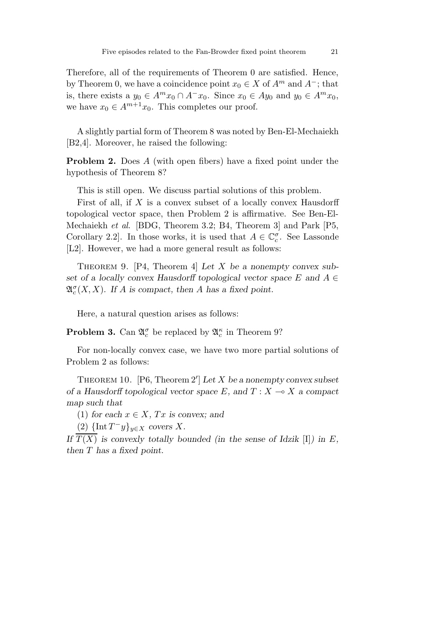Therefore, all of the requirements of Theorem 0 are satisfied. Hence, by Theorem 0, we have a coincidence point  $x_0 \in X$  of  $A^m$  and  $A^-$ ; that is, there exists a  $y_0 \in A^m x_0 \cap A^- x_0$ . Since  $x_0 \in Ay_0$  and  $y_0 \in A^m x_0$ , we have  $x_0 \in A^{m+1}x_0$ . This completes our proof.

A slightly partial form of Theorem 8 was noted by Ben-El-Mechaiekh [B2,4]. Moreover, he raised the following:

**Problem 2.** Does *A* (with open fibers) have a fixed point under the hypothesis of Theorem 8?

This is still open. We discuss partial solutions of this problem.

First of all, if *X* is a convex subset of a locally convex Hausdorff topological vector space, then Problem 2 is affirmative. See Ben-El-Mechaiekh et al. [BDG, Theorem 3.2; B4, Theorem 3] and Park [P5, Corollary 2.2]. In those works, it is used that  $A \in \mathbb{C}_c^{\sigma}$ . See Lassonde [L2]. However, we had a more general result as follows:

Theorem 9. [P4, Theorem 4] *Let X be a nonempty convex subset of a locally convex Hausdorff topological vector space*  $E$  and  $A \in$  $\mathfrak{A}_{c}^{\sigma}(X,X)$ *.* If *A* is compact, then *A* has a fixed point.

Here, a natural question arises as follows:

**Problem 3.** Can  $\mathfrak{A}_{c}^{\sigma}$  be replaced by  $\mathfrak{A}_{c}^{\kappa}$  in Theorem 9?

For non-locally convex case, we have two more partial solutions of Problem 2 as follows:

THEOREM 10.  $[P6, Theorem 2'] Let X be a nonempty convex subset$ *of a Hausdorff topological vector space*  $E$ *, and*  $T : X \rightarrow X$  *a compact map such that*

(1) *for each*  $x \in X$ *, Tx is convex; and* 

 $(2)$  {Int  $T^-y$ }<sub>*y*∈*X covers X.*</sub>

*If*  $\overline{T(X)}$  *is convexly totally bounded (in the sense of Idzik* [I]*) in E, then T has a fixed point.*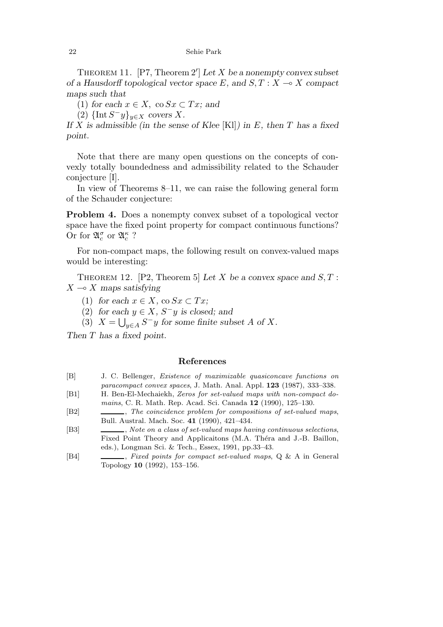THEOREM 11.  $[P7, Theorem 2'] Let X be a nonempty convex subset$ *of a Hausdorff topological vector space*  $E$ *, and*  $S$ *,*  $T$  *:*  $X \rightarrow X$  *compact maps such that*

(1) *for each*  $x \in X$ , co  $Sx \subset Tx$ ; and

 $(2)$  {Int  $S^-y$ }<sub>*y*∈*X covers X.*</sub>

*If X is admissible (in the sense of Klee* [Kl]*) in E, then T has a fixed point.*

Note that there are many open questions on the concepts of convexly totally boundedness and admissibility related to the Schauder conjecture [I].

In view of Theorems 8–11, we can raise the following general form of the Schauder conjecture:

**Problem 4.** Does a nonempty convex subset of a topological vector space have the fixed point property for compact continuous functions? Or for  $\mathfrak{A}_{c}^{\sigma}$  or  $\mathfrak{A}_{c}^{\kappa}$  ?

For non-compact maps, the following result on convex-valued maps would be interesting:

Theorem 12. [P2, Theorem 5] *Let X be a convex space and S, T* :  $X \rightarrow X$  *maps satisfying* 

- (1) *for each*  $x \in X$ , co  $Sx \subset Tx$ ;
- (2) *for each*  $y \in X$ *, S<sup>-</sup>y is closed; and*
- $(3)$   $X = \bigcup_{y \in A} S^{-}y$  for some finite subset *A* of *X*.

*Then T has a fixed point.*

#### **References**

- [B] J. C. Bellenger, *Existence of maximizable quasiconcave functions on paracompact convex spaces*, J. Math. Anal. Appl. **123** (1987), 333–338.
- [B1] H. Ben-El-Mechaiekh, *Zeros for set-valued maps with non-compact domains*, C. R. Math. Rep. Acad. Sci. Canada **12** (1990), 125–130.
- [B2] , *The coincidence problem for compositions of set-valued maps*, Bull. Austral. Mach. Soc. **41** (1990), 421–434.
- [B3] , *Note on a class of set-valued maps having continuous selections*, Fixed Point Theory and Applicaitons (M.A. Théra and J.-B. Baillon, eds.), Longman Sci. & Tech., Essex, 1991, pp.33–43.
- [B4] , *Fixed points for compact set-valued maps*, Q & A in General Topology **10** (1992), 153–156.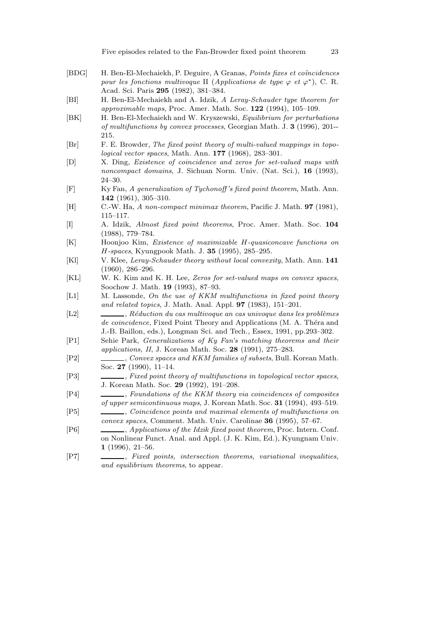- [BDG] H. Ben-El-Mechaiekh, P. Deguire, A Granas, *Points fixes et coïncidences pour les fonctions multivoque* II (*Applications de type*  $\varphi$  *et*  $\varphi^*$ ), C. R. Acad. Sci. Paris **295** (1982), 381–384.
- [BI] H. Ben-El-Mechaiekh and A. Idzik, *A Leray-Schauder type theorem for approximable maps*, Proc. Amer. Math. Soc. **122** (1994), 105–109.
- [BK] H. Ben-El-Mechaiekh and W. Kryszewski, *Equilibrium for perturbations of multifunctions by convex processes*, Georgian Math. J. **3** (1996), 201-- 215.
- [Br] F. E. Browder, *The fixed point theory of multi-valued mappings in topological vector spaces*, Math. Ann. **177** (1968), 283–301.
- [D] X. Ding, *Existence of coincidence and zeros for set-valued maps with noncompact domains*, J. Sichuan Norm. Univ. (Nat. Sci.), **16** (1993), 24–30.
- [F] Ky Fan, *A generalization of Tychonoff 's fixed point theorem*, Math. Ann. **142** (1961), 305–310.
- [H] C.-W. Ha, *A non-compact minimax theorem*, Pacific J. Math. **97** (1981), 115–117.
- [I] A. Idzik, *Almost fixed point theorems*, Proc. Amer. Math. Soc. **104** (1988), 779–784.
- [K] Hoonjoo Kim, *Existence of maximizable* H*-quasiconcave functions on* H*-spaces*, Kyungpook Math. J. **35** (1995), 285–295.
- [Kl] V. Klee, *Leray-Schauder theory without local convexity*, Math. Ann. **141** (1960), 286–296.
- [KL] W. K. Kim and K. H. Lee, *Zeros for set-valued maps on convex spaces*, Soochow J. Math. **19** (1993), 87–93.
- [L1] M. Lassonde, *On the use of KKM multifunctions in fixed point theory and related topics*, J. Math. Anal. Appl. **97** (1983), 151–201.
- [L2] , *R´eduction du cas multivoque an cas univoque dans les probl`emes* de coincidence, Fixed Point Theory and Applications (M. A. Théra and J.-B. Baillon, eds.), Longman Sci. and Tech., Essex, 1991, pp.293–302.
- [P1] Sehie Park, *Generalizations of Ky Fan's matching theorems and their applications, II*, J. Korean Math. Soc. **28** (1991), 275–283.
- [P2] , *Convex spaces and KKM families of subsets*, Bull. Korean Math. Soc. **27** (1990), 11–14.
- [P3] , *Fixed point theory of multifunctions in topological vector spaces*, J. Korean Math. Soc. **29** (1992), 191–208.
- [P4] , *Foundations of the KKM theory via coincidences of composites of upper semicontinuous maps*, J. Korean Math. Soc. **31** (1994), 493–519.
- [P5] , *Coincidence points and maximal elements of multifunctions on convex spaces*, Comment. Math. Univ. Carolinae **36** (1995), 57–67.
- [P6] , *Applications of the Idzik fixed point theorem*, Proc. Intern. Conf. on Nonlinear Funct. Anal. and Appl. (J. K. Kim, Ed.), Kyungnam Univ. **1** (1996), 21–56.
- [P7] , *Fixed points, intersection theorems, variational inequalities, and equilibrium theorems*, to appear.